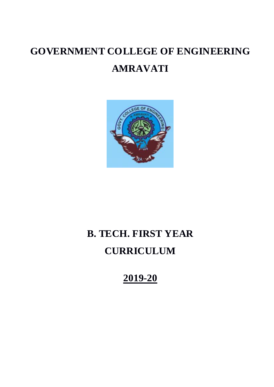# **GOVERNMENT COLLEGE OF ENGINEERING AMRAVATI**



## **B. TECH. FIRST YEAR CURRICULUM**

## **2019-20**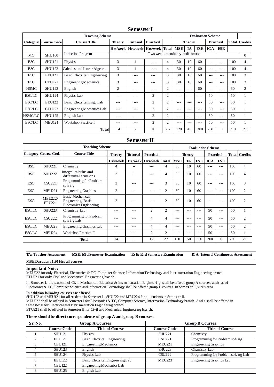| <b>Teaching Scheme</b><br><b>Evaluation Scheme</b> |                    |                              |               |                 |                                        |                |            |               |         |            |                  |              |                |
|----------------------------------------------------|--------------------|------------------------------|---------------|-----------------|----------------------------------------|----------------|------------|---------------|---------|------------|------------------|--------------|----------------|
| Category                                           | <b>Course Code</b> | <b>Course Title</b>          | <b>Theory</b> | <b>Tutorial</b> | <b>Practical</b>                       |                |            | <b>Theory</b> |         |            | <b>Practical</b> | <b>Total</b> | Credits        |
|                                                    |                    |                              |               |                 | Hrs/week   Hrs/week   Hrs/week   Total |                | <b>MSE</b> | TA            | ESE     | <b>ICA</b> | ESE              |              |                |
| MC                                                 | <b>SHU100</b>      | <b>Induction Program</b>     |               |                 | T wo weeks mandatory audit course      |                |            |               |         |            |                  |              | $\mathbf{0}$   |
| <b>BSC</b>                                         | <b>SHU121</b>      | Physics                      | 3             |                 | ---                                    | 4              | 30         | 10            | 60      | ---        | $- - -$          | 100          | $\overline{4}$ |
| <b>BSC</b>                                         | <b>SHU122</b>      | Calculus and Linear Algebra  | 3             |                 | $- - -$                                | 4              | 30         | 10            | 60      | ---        | $- - -$          | 100          | 4              |
| <b>ESC</b>                                         | <b>EEU121</b>      | Basic Electrical Engineering | 3             | ---             | ---                                    | 3              | 30         | 10            | 60      | ---        | $--$             | 100          | 3              |
| <b>ESC</b>                                         | <b>CEU121</b>      | <b>Engineering Mechanics</b> | 3             | ---             | ---                                    | 3              | 30         | 10            | 60      | ---        | $- - -$          | 100          | 3              |
| <b>HSMC</b>                                        | <b>SHU123</b>      | English                      | 2             | ---             | $- - -$                                | $\overline{2}$ | ---        | $- - -$       | 60      | ---        | $- - -$          | 60           | $\overline{c}$ |
| <b>BSC/LC</b>                                      | <b>SHU124</b>      | Physics Lab                  | ---           | ---             | $\overline{2}$                         | $\overline{2}$ | ---        | ---           | $---$   | 50         | $---$            | 50           |                |
| ESC/LC                                             | <b>EEU122</b>      | Basic Electrical Engg Lab    | ---           | ---             | $\overline{2}$                         | $\overline{2}$ | ---        | $- - -$       | $- - -$ | 50         | $---$            | 50           |                |
| <b>ESC/LC</b>                                      | <b>CEU122</b>      | Engineering Mechanics Lab    | ---           | ---             | $\overline{2}$                         | $\overline{c}$ | ---        | ---           | $---$   | 50         | $---$            | 50           | л.             |
| <b>HSMC/LC</b>                                     | <b>SHU125</b>      | English Lab                  | ---           | ---             | $\overline{2}$                         | $\overline{c}$ | ---        | $---$         | $---$   | 50         | $---$            | 50           |                |
| ESC/LC                                             | <b>MEU121</b>      | Workshop Practice I          | ---           | $- - -$         | $\overline{2}$                         | $\overline{2}$ | ---        | $--$          | $- - -$ | 50         | $---$            | 50           | л.             |
|                                                    |                    | <b>Total</b>                 | 14            | $\overline{c}$  | 10                                     | 26             | 120        | 40            | 300     | 250        | $\Omega$         | 710          | 21             |

#### **Semester I**

#### **Semester II**

| <b>Teaching Scheme</b> |                             |                                                                         |                |                 |                            |                | <b>Evaluation Scheme</b>          |     |            |                        |          |     |                |
|------------------------|-----------------------------|-------------------------------------------------------------------------|----------------|-----------------|----------------------------|----------------|-----------------------------------|-----|------------|------------------------|----------|-----|----------------|
|                        | <b>Category Course Code</b> | <b>Course Title</b>                                                     | <b>Theory</b>  | <b>Tutorial</b> | Practical                  |                | <b>Theory</b><br><b>Practical</b> |     |            | <b>Total   Credits</b> |          |     |                |
|                        |                             |                                                                         |                |                 | Hrs/week Hrs/week Hrs/week | <b>Total</b>   | <b>MSE</b>                        | TA  | <b>ESE</b> | <b>ICA</b>             | ESE      |     |                |
| <b>BSC</b>             | <b>SHU221</b>               | Chemistry                                                               | 4              | --              |                            | 4              | 30                                | 10  | 60         | $- - -$                | $- - -$  | 100 | 4              |
| <b>BSC</b>             | <b>SHU222</b>               | Integral calculus and<br>differential equations                         | 3              |                 |                            | 4              | 30                                | 10  | 60         | ---                    | ---      | 100 | $\overline{4}$ |
| <b>ESC</b>             | <b>CSU221</b>               | Programming for Problem<br>solving                                      | 3              | $- - -$         |                            | 3              | 30                                | 10  | 60         | $- - -$                | ---      | 100 | 3              |
| <b>ESC</b>             | <b>MEU221</b>               | <b>Engineering Graphics</b>                                             | $\overline{c}$ | $- - -$         | ---                        | $\overline{c}$ | 30                                | 10  | 60         | $- - -$                | ---      | 100 | $\overline{2}$ |
| <b>ESC</b>             | <b>MEU222/</b><br>ET U221   | <b>Basic Mechanical</b><br>Engineering/Basic<br>Electronics Engineering | $\overline{2}$ |                 |                            | $\overline{2}$ | 30                                | 10  | 60         | $- - -$                | $---$    | 100 | $\overline{2}$ |
| <b>BSC/LC</b>          | <b>SHU223</b>               | Chemistry Lab                                                           | ---            | $---$           | $\overline{2}$             | $\overline{2}$ | $---$                             | --- | $--$       | 50                     | $---$    | 50  | 1              |
| ESC/LC                 | <b>CSU222</b>               | Programming for Problem<br>solving Lab                                  | ---            | ---             | 4                          | $\overline{4}$ | ---                               | --- | $- - -$    | 50                     | $---$    | 50  | $\overline{2}$ |
| ESC/LC                 | <b>MEU223</b>               | Engineering Graphics Lab                                                | ---            | $- - -$         | 4                          | 4              | $---$                             | --- | $- - -$    | 50                     | $---$    | 50  | $\overline{c}$ |
| <b>ESC/LC</b>          | <b>MEU224</b>               | Workshop Practice II                                                    | ---            | $---$           | $\overline{c}$             | $\overline{c}$ | $---$                             | --- | $---$      | 50                     | $---$    | 50  | 1              |
|                        |                             | <b>Total</b>                                                            | 14             |                 | 12                         | 27             | 150                               | 50  | 300        | 200                    | $\Omega$ | 700 | 21             |

**TA: Teacher Assessment MSE: Mid Semester Examination ESE: End Semester Examination ICA: Internal Continuous Assessment**

**MSE Duration: 1.30 Hrs all courses** 

#### **Important Note:**

MEU222 for only Electrical, Electronics & TC, Computer Science, Information Technology and Instrumentation Engineering branch ETU221 for only Civil and Mechanical Engineering branch

In Semester I, the students of Civil, Mechanical, Electrical & Instrumentation Engineering shall be offered group A courses, and that of Electronics & TC, Computer Science and Information Technology shall be offered group B courses. In Semester II, vice versa.

**In addition following courses are offered**

SHU122 and MEU121 for all students in Semester I. SHU222 and MEU224 for all students in Semester II.

MEU222 shall be offered in Semester I for Electronics & TC, Computer Science, Information Technology branch. And it shall be offered in Semester II for Electrical and Instrumentation Engineering branch

ETU221 shall be offered in Semester II for Civil and Mechanical Engineering branch.

#### **There should be direct correspondence of group A and group B courses.**

| Sr. No. |                    | <b>Group A Courses</b>              | <b>Group B Courses</b> |                                     |  |  |
|---------|--------------------|-------------------------------------|------------------------|-------------------------------------|--|--|
|         | <b>Course Code</b> | <b>Title of Course</b>              | <b>Course Code</b>     | <b>Title of Course</b>              |  |  |
|         | <b>SHU121</b>      | Physics                             | <b>SHU221</b>          | Chemistry                           |  |  |
| ◠       | <b>EEU121</b>      | <b>Basic Electrical Engineering</b> | <b>CSU221</b>          | Programming for Problem solving     |  |  |
| 3       | <b>CEU121</b>      | <b>Engineering Mechanics</b>        | <b>MEU221</b>          | <b>Engineering Graphics</b>         |  |  |
|         | <b>SHU123</b>      | English                             | <b>SHU223</b>          | Chemistry Lab                       |  |  |
|         | <b>SHU124</b>      | Physics Lab                         | <b>CSU222</b>          | Programming for Problem solving Lab |  |  |
| h       | <b>EEU122</b>      | Basic Electrical Engineering Lab    | <b>MEU223</b>          | Engineering Graphics Lab            |  |  |
|         | <b>CEU122</b>      | Engineering Mechanics Lab           |                        |                                     |  |  |
|         | <b>SHU125</b>      | English Lab                         |                        |                                     |  |  |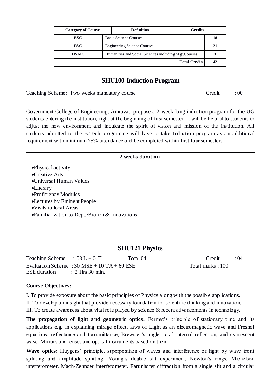| <b>Category of Course</b> |                              | Definition<br>Credits                                 |  |                      |    |  |
|---------------------------|------------------------------|-------------------------------------------------------|--|----------------------|----|--|
| BSC                       | <b>Basic Science Courses</b> |                                                       |  |                      | 18 |  |
| ES C                      | Engineering Science Courses  | 21                                                    |  |                      |    |  |
| <b>HSMC</b>               |                              | Humanities and Social Sciences including Mgt. Courses |  |                      |    |  |
|                           |                              |                                                       |  | <b>Total Credits</b> | 42 |  |

## **SHU100 Induction Program**

Teaching Scheme: Two weeks mandatory course Credit : 00 **----------------------------------------------------------------------------------------------------------------------------**

Government College of Engineering, Amravati propose a 2-week long induction program for the UG students entering the institution, right at the beginning of first semester. It will be helpful to students to adjust the new environment and inculcate the spirit of vision and mission of the institution. All students admitted to the B.Tech programme will have to take Induction program as an additional requirement with minimum 75% attendance and be completed within first four semesters.

| 2 weeks duration                                                |  |
|-----------------------------------------------------------------|--|
| •Physical activity                                              |  |
| •Creative Arts                                                  |  |
| •Universal Human Values                                         |  |
| $\bullet$ Literary                                              |  |
| •Proficiency Modules                                            |  |
| •Lectures by Eminent People                                     |  |
| • Visits to local Areas                                         |  |
| • Familiarization to Dept./Branch $& Inno \times \text{ations}$ |  |
|                                                                 |  |

## **SHU121 Physics**

| Teaching Scheme : $03 L + 01T$          |                                             | Total 04 | Credit           | $\cdot$ 04 |
|-----------------------------------------|---------------------------------------------|----------|------------------|------------|
| $ESE$ duration $\qquad$ : 2 Hrs 30 min. | Evaluation Scheme : 30 MSE + 10 TA + 60 ESE |          | Total marks: 100 |            |
|                                         |                                             |          |                  |            |

## **Course Objectives:**

I. To provide exposure about the basic principles of Physics along with the possible applications.

II. To develop an insight that provide necessary foundation for scientific thinking and innovation.

III. To create awareness about vital role played by science & recent advancements in technology.

The propagation of light and geometric optics: Fermat's principle of stationary time and its applications e.g. in explaining mirage effect, laws of Light as an electromagnetic wave and Fresnel equations, reflectance and transmittance, Brewster's angle, total internal reflection, and evanescent wave. Mirrors and lenses and optical instruments based on them

Wave optics: Huygens' principle, superposition of waves and interference of light by wave front splitting and amplitude splitting; Young's double slit experiment, Newton's rings, Michelson interferometer, Mach-Zehnder interferometer. Farunhofer diffraction from a single slit and a circular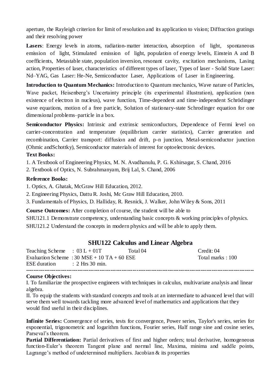aperture, the Rayleigh criterion for limit of resolution and its application to vision; Diffraction gratings and their resolving power

Lasers: Energy levels in atoms, radiation-matter interaction, absorption of light, spontaneous emission of light, Stimulated emission of light, population of energy levels, Einstein A and B coefficients, Metastable state, population inversion, resonant cavity, excitation mechanisms, Lasing action, Properties of laser, characteristics of different types of laser, Types of laser - Solid State Laser: Nd–YAG, Gas Laser: He-Ne, Semiconductor Laser, Applications of Laser in Engineering.

**Introduction to Quantum Mechanics:** Introduction to Quantum mechanics, Wave nature of Particles, Wave packet, Heisenberg's Uncertainty principle (its experimental illustration), application (non existence of electron in nucleus), wave function, Time-dependent and time-independent Schrödinger wave equations, motion of a free particle, Solution of stationary-state Schrodinger equation for one dimensional problems–particle in a box.

Semiconductor Physics: Intrinsic and extrinsic semiconductors, Dependence of Fermi level on carrier-concentration and temperature (equilibrium carrier statistics), Carrier generation and recombination, Carrier transport: diffusion and drift, p-n junction, Metal-semiconductor junction (Ohmic andSchottky), Semiconductor materials of interest for optoelectronic devices.

## **Text Books:**

1. A Textbook of Engineering Physics, M. N. Avadhanulu, P. G. Kshirsagar, S. Chand, 2016

2. Textbook of Optics, N. Subrahmanyam, Brij Lal, S. Chand, 2006

## **Reference Books:**

1. Optics, A. Ghatak, McGraw Hill Education, 2012.

2. Engineering Physics, Dattu R. Joshi, Mc Graw Hill Education, 2010.

3. Fundamentals of Physics, D. Halliday, R. Resnick, J. Walker, John Wiley & Sons, 2011

**Course Outcomes:** After completion of course, the student will be able to

SHU121.1 Demonstrate competency, understanding basic concepts & working principles of physics. SHU121.2 Understand the concepts in modern physics and will be able to apply them.

## **SHU122 Calculus and Linear Algebra**

| Teaching Scheme : $03 L + 01T$ |                                             | Total 04 | Credit: $04$     |
|--------------------------------|---------------------------------------------|----------|------------------|
|                                | Evaluation Scheme : 30 MSE + 10 TA + 60 ESE |          | Total marks: 100 |
| $ESE$ duration : 2 Hrs 30 min. |                                             |          |                  |
|                                |                                             |          |                  |

## **Course Objectives:**

I. To familiarize the prospective engineers with techniques in calculus, multivariate analysis and linear algebra.

II. To equip the students with standard concepts and tools at an intermediate to advanced level that will serve them well towards tackling more advanced level of mathematics and applications that they would find useful in their disciplines.

**Infinite Series:** Convergence of series, tests for convergence, Power series, Taylor's series, series for exponential, trigonometric and logarithm functions, Fourier series, Half range sine and cosine series, Parseval"s theorem.

Partial Differentiation: Partial derivatives of first and higher orders; total derivative, homogeneous function-Euler's theorem Tangent plane and normal line, Maxima, minima and saddle points, Lagrange's method of undetermined multipliers. Jacobian  $\&$  its properties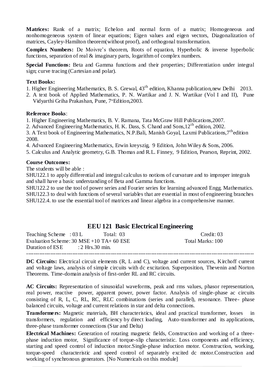**Matrices:** Rank of a matrix; Echelon and normal form of a matrix; Homogeneous and nonhomogeneous system of linear equations; Eigen values and eigen vectors, Diagonalization of matrices, Cayley-Hamilton theorem(without proof), and orthogonal transformation.

**Complex Numbers:** De Moivre's theorem, Roots of equation, Hyperbolic & inverse hyperbolic functions, separation of real & imaginary parts, logarithm of complex numbers.

**Special Functions:** Beta and Gamma functions and their properties; Differentiation under integral sign; curve tracing (Cartesian and polar).

#### **Text Books:**

1. Higher Engineering Mathematics, B. S. Grewal, 43<sup>th</sup> edition, Khanna publication, new Delhi 2013.

2. A text book of Applied Mathematics, P. N. Wartikar and J. N. Wartikar (Vol I and II), Pune Vidyarthi Griha Prakashan, Pune, 7<sup>th</sup>Edition,2003.

#### **Reference Books**:

1. Higher Engineering Mathematics, B. V. Ramana, Tata McGraw Hill Publications,2007.

2. Advanced Engineering Mathematics, H. K. Dass, S. Chand and Sons,12th edition, 2002.

3. A Text book of Engineering Mathematics, N.P.Bali, Manish Goyal, Laxmi Publications, 7<sup>th</sup>edition 2008.

4. Advanced Engineering Mathematics, Erwin kreyszig, 9 Edition, John Wiley & Sons, 2006.

5. Calculus and Analytic geometry, G.B. Thomas and R.L. Finney, 9 Edition, Pearson, Reprint, 2002.

#### **Course Outcomes:**

The students will be able :

SHU122.1 to apply differential and integral calculus to notions of curvature and to improper integrals and shall have a basic understanding of Beta and Gamma functions.

SHU122.2 to use the tool of power series and Fourier series for learning advanced Engg. Mathematics. SHU122.3 to deal with functions of several variables that are essential in most of engineering branches SHU122.4. to use the essential tool of matrices and linear algebra in a comprehensive manner.

## **EEU 121 Basic Electrical Engineering**

| Teaching Scheme: $03 L$                    | Total: 03 | Credit: $03$     |
|--------------------------------------------|-----------|------------------|
| Evaluation Scheme: $30$ MSE +10 TA+ 60 ESE |           | Total Marks: 100 |
| Duration of $ESE$ : 2 Hrs. 30 min.         |           |                  |
|                                            |           |                  |

**DC Circuits:** Electrical circuit elements (R, L and C), voltage and current sources, Kirchoff current and voltage laws, analysis of simple circuits with dc excitation. Superposition, Thevenin and Norton Theorems. Time-domain analysis of first-order RL and RC circuits.

**AC Circuits:** Representation of sinusoidal waveforms, peak and rms values, phasor representation, real power, reactive power, apparent power, power factor. Analysis of single-phase ac circuits consisting of R, L, C, RL, RC, RLC combinations (series and parallel), resonance. Three- phase balanced circuits, voltage and current relations in star and delta connections.

**Transformers:** Magnetic materials, BH characteristics, ideal and practical transformer, losses in transformers, regulation and efficiency by direct loading, Auto-transformer and its applications, three-phase transformer connections (Star and Delta)

**Electrical Machines:** Generation of rotating magnetic fields, Construction and working of a threephase induction motor, Significance of torque-slip characteristic. Loss components and efficiency, starting and speed control of induction motor.Single-phase induction motor. Construction, working, torque-speed characteristic and speed control of separately excited dc motor.Construction and working of synchronous generators. [No Numericals on this module]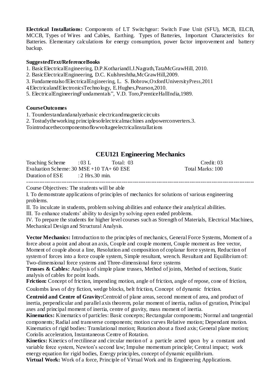**Electrical Installations:** Components of LT Switchgear: Switch Fuse Unit (SFU), MCB, ELCB, MCCB, Types of Wires and Cables, Earthing. Types of Batteries, Important Characteristics for Batteries. Elementary calculations for energy consumption, power factor improvement and battery backup.

## **SuggestedText/ReferenceBooks**

- 1. BasicElectricalEngineering, D.P.KothariandI.J.Nagrath,TataMcGrawHill, 2010.
- 2. BasicElectricalEngineering, D.C. Kulshreshtha,McGrawHill,2009.
- 3. FundamentalsofElectricalEngineering, L. S. Bobrow,OxfordUniversityPress,2011
- 4. ElectricalandElectronicsTechnology, E.Hughes,Pearson,2010.
- 5. ElectricalEngineeringFundamentals", V.D. Toro,PrenticeHallIndia,1989.

## **CourseOutcomes**

- 1. Tounderstandandanalyzebasic electricandmagneticcircuits
- 2. Tostudytheworking principlesofelectricalmachines andpowerconverters.3.
- Tointroducethecomponentsoflowvoltageelectricalinstallations

## **CEU121 Engineering Mechanics**

| Teaching Scheme : 03 L                     | Total: 03 | Credit: $03$     |
|--------------------------------------------|-----------|------------------|
| Evaluation Scheme: $30$ MSE +10 TA+ 60 ESE |           | Total Marks: 100 |
| Duration of $ESE$ : 2 Hrs. 30 min.         |           |                  |
|                                            |           |                  |

Course Objectives: The students will be able

I. To demonstrate applications of principles of mechanics for solutions of various engineering problems.

II. To inculcate in students, problem solving abilities and enhance their analytical abilities.

III. To enhance students" ability to design by solving open ended problems.

IV. To prepare the students for higher level courses such as Strength of Materials, Electrical Machines, Mechanical Design and Structural Analysis.

**Vector Mechanics:** Introduction to the principles of mechanics, General Force Systems, Moment of a force about a point and about an axis, Couple and couple moment, Couple moment as free vector, Moment of couple about a line, Resolution and composition of coplanar force system, Reduction of system of forces into a force couple system, Simple resultant, wrench. Resultant and Equilibrium of: Two-dimensional force systems and Three-dimensional force systems

**Trusses & Cables:** Analysis of simple plane trusses, Method of joints, Method of sections, Static analysis of cables for point loads.

**Friction:** Concept of friction, impending motion, angle of friction, angle of repose, cone of friction,

Coulombs laws of dry fiction, wedge blocks, belt friction, Concept of dynamic friction.

**Centroid and Centre of Gravity:**Centroid of plane areas, second moment of area, and product of inertia, perpendicular and parallel axis theorem, polar moment of inertia, radius of gyration, Principal axes and principal moment of inertia, centre of gravity, mass moment of inertia.

**Kinematics:** Kinematics of particles: Basic concepts; Rectangular components; Normal and tangential components; Radial and transverse components; motion curves Relative motion; Dependant motion. Kinematics of rigid bodies: Translational motion; Rotation about a fixed axis; General plane motion; Coriolis acceleration, Instantaneous Centre of Rotation.

**Kinetics:** Kinetics of rectilinear and circular motion of a particle acted upon by a constant and variable force system, Newton"s second law; Impulse momentum principle; Central impact; work energy equation for rigid bodies, Energy principles, concept of dynamic equilibrium.

**Virtual Work:** Work of a force, Principle of Virtual Work and its Engineering Applications.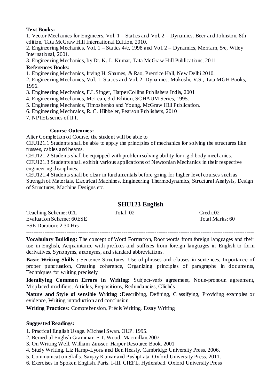## **Text Books:**

1. Vector Mechanics for Engineers, Vol. 1 – Statics and Vol. 2 – Dynamics, Beer and Johnston, 8th edition, Tata McGraw Hill International Edition, 2010.

2. Engineering Mechanics, Vol. 1 – Statics 4/e, 1998 and Vol. 2 – Dynamics, Merriam, 5/e, Wiley International, 2001.

3. Engineering Mechanics, by Dr. K. L. Kumar, Tata McGraw Hill Publications, 2011

## **References Books:**

1. Engineering Mechanics, Irving H. Shames, & Rao, Prentice Hall, New Delhi 2010.

2. Engineering Mechanics, Vol. 1–Statics and Vol. 2–Dynamics, Mokoshi, V.S., Tata MGH Books, 1996.

- 3. Engineering Mechanics, F.L.Singer, HarperCollins Publishers India, 2001
- 4. Engineering Mechanics, McLean, 3rd Edition, SCHAUM Series, 1995.
- 5. Engineering Mechanics, Timoshenko and Young, McGraw Hill Publication.
- 6. Engineering Mechnaics, R. C. Hibbeler, Pearson Publishers, 2010
- 7. NPTEL series of IIT.

## **Course Outcomes:**

After Completion of Course, the student will be able to

CEU121.1 Students shall be able to apply the principles of mechanics for solving the structures like trusses, cables and beams.

CEU121.2 Students shall be equipped with problem solving ability for rigid body mechanics.

CEU121.3 Students shall exhibit various applications of Newtonian Mechanics in their respective engineering disciplines.

CEU121.4 Students shall be clear in fundamentals before going for higher level courses such as Strength of Materials, Electrical Machines, Engineering Thermodynamics, Structural Analysis, Design of Structures, Machine Designs etc.

## **SHU123 English**

| Teaching Scheme: 02L          | Total: 02 | Credit:02       |
|-------------------------------|-----------|-----------------|
| Evaluation Scheme: 60ESE      |           | Total Marks: 60 |
| <b>ESE Duration: 2.30 Hrs</b> |           |                 |
|                               |           |                 |

**Vocabulary Building:** The concept of Word Formation, Root words from foreign languages and their use in English, Acquaintance with prefixes and suffixes from foreign languages in English to form derivatives, Synonyms, antonyms, and standard abbreviations.

**Basic Writing Skills :** Sentence Structures, Use of phrases and clauses in sentences, Importance of proper punctuation, Creating coherence, Organizing principles of paragraphs in documents, Techniques for writing precisely

**Identifying Common Errors in Writing:** Subject-verb agreement, Noun-pronoun agreement, Misplaced modifiers, Articles, Prepositions, Redundancies, Clichés

**Nature and Style of sensible Writing :**Describing, Defining, Classifying, Providing examples or evidence, Writing introduction and conclusion

**Writing Practices:** Comprehension, Précis Writing, Essay Writing

## **Suggested Readings:**

1. Practical English Usage. Michael Swan. OUP. 1995.

- 2. Remedial English Grammar. F.T. Wood. Macmillan.2007
- 3. On Writing Well. William Zinsser. Harper Resource Book. 2001
- 4. Study Writing. Liz Hamp-Lyons and Ben Heasly. Cambridge University Press. 2006.
- 5. Communication Skills. Sanjay Kumar and PushpLata. Oxford University Press. 2011.
- 6. Exercises in Spoken English. Parts. I-III. CIEFL, Hyderabad. Oxford University Press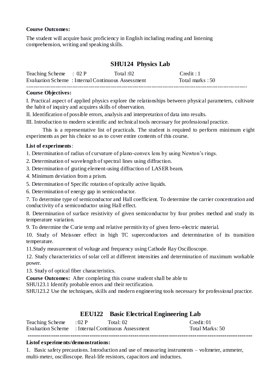## **Course Outcomes:**

The student will acquire basic proficiency in English including reading and listening comprehension, writing and speaking skills.

## **SHU124 Physics Lab**

| Teaching Scheme : 02 P                            | Total :02 | Credit:1        |
|---------------------------------------------------|-----------|-----------------|
| Evaluation Scheme: Internal Continuous Assessment |           | Total marks: 50 |
|                                                   |           |                 |

## **Course Objectives:**

I. Practical aspect of applied physics explore the relationships between physical parameters, cultivate the habit of inquiry and acquires skills of observation.

II. Identification of possible errors, analysis and interpretation of data into results.

III. Introduction to modern scientific and technical tools necessary for professional practice.

This is a representative list of practicals. The student is required to perform minimum e ight experiments as per his choice so as to cover entire contents of this course.

## **List of experiments**:

1. Determination of radius of curvature of plano-convex lens by using Newton"s rings.

2. Determination of wavelength of spectral lines using diffraction.

3. Determination of grating element-using diffraction of LASER beam.

4. Minimum deviation from a prism.

- 5. Determination of Specific rotation of optically active liquids.
- 6. Determination of energy gap in semiconductor.

7. To determine type of semiconductor and Hall coefficient. To determine the carrier concentration and conductivity of a semiconductor using Hall effect.

8. Determination of surface resistivity of given semiconductor by four probes method and study its temperature variation.

9. To determine the Curie temp and relative permitivity of given ferro-electric material.

10. Study of Meissner effect in high TC superconductors and determination of its transition temperature.

11.Study measurement of voltage and frequency using Cathode Ray Oscilloscope.

12. Study characteristics of solar cell at different intensities and determination of maximum workable power.

13. Study of optical fiber characteristics.

**Course Outcomes:** After completing this course student shall be able to

SHU123.1 Identify probable errors and their rectification.

SHU123.2 Use the techniques, skills and modern engineering tools necessary for professional practice.

## **EEU122 Basic Electrical Engineering Lab**

| Teaching Scheme : 02 P                             | Total: 02 | $C$ redit: 01   |
|----------------------------------------------------|-----------|-----------------|
| Evaluation Scheme : Internal Continuous Assessment |           | Total Marks: 50 |
|                                                    |           |                 |

## **Listof experiments/demonstrations:**

1. Basic safety precautions. Introduction and use of measuring instruments – voltmeter, ammeter, multi-meter, oscilloscope. Real-life resistors, capacitors and inductors.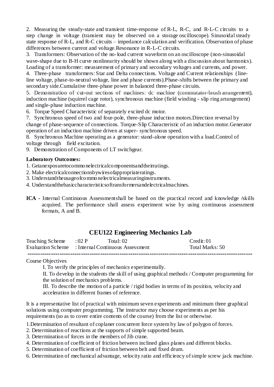2. Measuring the steady-state and transient time-response of R-L, R-C, and R-L-C circuits to a step change in voltage (transient may be observed on a storage oscilloscope). Sinusoidal steady state response of R-L, and R-C circuits – impedance calculation and verification. Observation of phase differences between current and voltage.Resonance in R-L-C circuits.

3. Transformers: Observation of the no-load current waveform on an oscilloscope (non-sinusoidal wave-shape due to B-H curve nonlinearity should be shown along with a discussion about harmonics). Loading of a transformer: measurement of primary and secondary voltages and currents, and power.

4. Three-phase transformers: Star and Delta connections. Voltage and Current relationships (lineline voltage, phase-to-neutral voltage, line and phase currents).Phase-shifts between the primary and secondary side.Cumulative three-phase power in balanced three-phase circuits.

5. Demonstration of cut-out sections of machines: dc machine (commutator-brush arrangement), induction machine (squirrel cage rotor), synchronous machine (field winding - slip ring arrangement) and single-phase induction machine.

6. Torque Speed Characteristic of separately excited dc motor.

7. Synchronous speed of two and four-pole, three-phase induction motors.Direction reversal by change of phase-sequence of connections. Torque-Slip Characteristic of an induction motor.Generator operation of an induction machine driven at super- synchronous speed.

8. Synchronous Machine operating as a generator: stand-alone operation with a load.Control of voltage through field excitation.

9. Demonstration of Components of LT switchgear.

## **Laboratory Outcomes:**

1. Getanexposuretocommonelectricalcomponentsandtheirratings.

- 2. Make electricalconnectionsbywiresofappropriateratings.
- 3. Understandtheusageofcommo nelectricalmeasuringinstruments.
- 4. Understandthebasiccharacteristicsoftransformersandelectricalmachines.
- **ICA -** Internal Continuous Assessmentshall be based on the practical record and knowledge /skills acquired. The performance shall assess experiment wise by using continuous assessment formats, A and B.

## **CEU122 Engineering Mechanics Lab**

| Teaching Scheme : 02 P                             | Total: 02 | Credit: 01      |
|----------------------------------------------------|-----------|-----------------|
| Evaluation Scheme : Internal Continuous Assessment |           | Total Marks: 50 |
|                                                    |           |                 |

## Course Objectives

I. To verify the principles of mechanics experimentally.

II. To develop in the students the skill of using graphical methods / Computer programming for the solution of mechanics problems.

III. To describe the motion of a particle / rigid bodies in terms of its position, velocity and acceleration in different frames of reference.

It is a representative list of practical with minimum seven experiments and minimum three graphical solutions using computer programming. The instructor may choose experiments as per his requirements (so as to cover entire contents of the course) from the list or otherwise.

1.Determination of resultant of coplaner concurrent force system by law of polygon of forces.

- 2. Determination of reactions at the supports of simple supported beam.
- 3. Determination of forces in the members of Jib crane.
- 4. Determination of coefficient of friction between inclined glass planes and different blocks.
- 5. Determination of coefficient of friction between belt and fixed drum.
- 6. Determination of mechanical advantage, velocity ratio and efficiency of simple screw jack machine.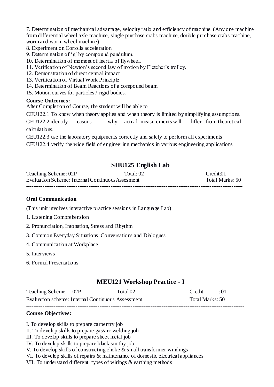7. Determination of mechanical advantage, velocity ratio and efficiency of machine. (Any one machine from differential wheel axle machine, single purchase crabs machine, double purchase crabs machine, worm and worm wheel machine)

- 8. Experiment on Coriolis acceleration
- 9. Determination of "g" by compound pendulum.
- 10. Determination of moment of inertia of flywheel.
- 11. Verification of Newton"s second law of motion by Fletcher"s trolley.
- 12. Demonstration of direct central impact
- 13. Verification of Virtual Work Principle
- 14. Determination of Beam Reactions of a compound beam
- 15. Motion curves for particles / rigid bodies.

## **Course Outcomes:**

After Completion of Course, the student will be able to

CEU122.1 To know when theory applies and when theory is limited by simplifying assumptions.

CEU122.2 identify reasons why actual measurements will differ from theoretical calculations.

CEU122.3 use the laboratory equipments correctly and safely to perform all experiments CEU122.4 verify the wide field of engineering mechanics in various engineering applications

## **SHU125 English Lab**

| Teaching Scheme: 02P                             | Total: 02. | $C$ redit:01    |
|--------------------------------------------------|------------|-----------------|
| Evaluation Scheme: Internal Continuous Assesment |            | Total Marks: 50 |
|                                                  |            |                 |

## **Oral Communication**

(This unit involves interactive practice sessions in Language Lab)

- 1. Listening Comprehension
- 2. Pronunciation, Intonation, Stress and Rhythm
- 3. Common Everyday Situations: Conversations and Dialogues
- 4. Communication at Workplace
- 5. Interviews
- 6. Formal Presentations

## **MEU121 Workshop Practice - I**

| Teaching Scheme: 02P                              | Total 02 | $C$ redit $\cdot$ 01 |  |
|---------------------------------------------------|----------|----------------------|--|
| Evaluation scheme: Internal Continuous Assessment |          | Total Marks: 50      |  |
|                                                   |          |                      |  |

## **Course Objectives:**

I. To develop skills to prepare carpentry job

II. To develop skills to prepare gas/arc welding job

III. To develop skills to prepare sheet metal job

IV. To develop skills to prepare black smithy job

V. To develop skills of constructing choke  $\&$  small transformer windings

VI. To develop skills of repairs & maintenance of domestic electrical appliances

VII. To understand different types of wirings & earthing methods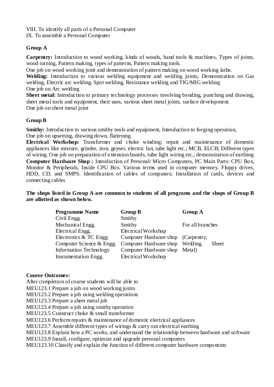VIII. To identify all parts of a Personal Computer IX. To assemble a Personal Computer

## **Group A**

**Carpentry:** Introduction to wood working, kinds of woods, hand tools & machines, Types of joints, wood turning, Pattern making, types of patterns, Pattern making tools.

One job on wood working joint and demonstration of pattern making on wood working lathe.

**Welding:** Introduction to various welding equipment and welding joints, Demonstration on Gas welding, Electric arc welding, Spot welding, Resistance welding and TIG/MIG welding One job on Arc welding

**Sheet metal:** Introduction to primary technology processes involving bending, punching and drawing, sheet metal tools and equipment, their uses, various sheet metal joints, surface development. One job on sheet metal joint

## **Group B**

**Smithy:** Introduction to various smithy tools and equipment, Introduction to forging operation, One job on upsetting, drawing down, flattening

**Electrical Workshop:** Transformer and choke winding; repair and maintenance of domestic appliances like mixture, grinder, iron, geyser, electric fan, tube light etc.; MCB, ELCB; Different types of wiring. One job on preparation of extension boards, tube light wiring etc.; demonstration of earthing **Computer Hardware Shop :** Introduction of Personal/ Micro Computers, PC Main Parts: CPU Box, Monitor & Peripherals, Inside CPU Box. Various terms used in computer memory. Floppy drives, HDD, CD, and SMPS. Identification of cables of computers; Installation of cards, devices and connecting cables

**The shops listed in Group A are common to students of all programs and the shops of Group B are allotted as shown below.**

| <b>Programme Name</b>         | <b>Group B</b>                     | <b>Group A</b>   |  |
|-------------------------------|------------------------------------|------------------|--|
| Civil Engg.                   | Smithy                             |                  |  |
| Mechanical Engg.              | Smithy                             | For all branches |  |
| Electrical Engg.              | Electrical Workshop                |                  |  |
| Electronics & TC Engg.        | Computer Hardware shop (Carpentry, |                  |  |
| Computer Science & Engg.      | Computer Hardware shop Welding,    | <b>Sheet</b>     |  |
| <b>Information Technology</b> | Computer Hardware shop Metal)      |                  |  |
| <b>Insrumentation Engg.</b>   | Electrical Workshop                |                  |  |

## **Course Outcomes:**

After completion of course students will be able to MEU123.1 Prepare a job on wood working joints MEU123.2 Prepare a job using welding operations MEU123.3 Prepare a sheet metal job MEU123.4 Prepare a job using smithy operation MEU123.5 Construct choke & small transformer MEU123.6 Perform repairs & maintenance of domestic electrical appliances MEU123.7 Assemble different types of wirings & carry out electrical earthing MEU123.8 Explain how a PC works, and understand the relationship between hardware and software MEU123.9 Install, configure, optimize and upgrade personal computers MEU123.10 Classify and explain the function of different computer hardware components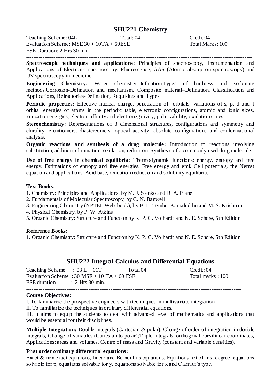## **SHU221 Chemistry**

Teaching Scheme: 04L<br>
Evaluation Scheme: MSE 30 + 10TA + 60ESE<br>
Total: 04<br>
Total Marks: 100 Evaluation Scheme: MSE  $30 + 10TA + 60ESE$ ESE Duration: 2 Hrs 30 min

**---------------------------------------------------------------------------------------------------------------------------**

**Spectroscopic techniques and applications:** Principles of spectroscopy, Instrumentation and Applications of Electronic spectroscopy. Fluorescence, AAS (Atomic absorption spe ctroscopy) and UV spectroscopy in medicine.

**Engineering Chemistry:** Water chemistry-Defination,Types of hardness and softening methods.Corrosion-Defination and mechanism. Composite material–Defination, Classification and Applications, Refractories-Defination, Requisites and Types

Periodic properties: Effective nuclear charge, penetration of orbitals, variations of s, p, d and f orbital energies of atoms in the periodic table, electronic configurations, atomic and ionic sizes, ionization energies, electron affinity and electronegativity, polarizability, oxidation states

**Stereochemistry:** Representations of 3 dimensional structures, configurations and symmetry and chirality, enantiomers, diastereomers, optical activity, absolute configurations and conformational analysis.

**Organic reactions and synthesis of a drug molecule:** Introduction to reactions involving substitution, addition, elimination, oxidation, reduction, Synthesis of a commonly used drug molecule.

**Use of free energy in chemical equilibria:** Thermodynamic functions: energy, entropy and free energy. Estimations of entropy and free energies. Free energy and emf. Cell potentials, the Nernst equation and applications. Acid base, oxidation reduction and solubility equilibria.

#### **Text Books:**

1. Chemistry: Principles and Applications, by M. J. Sienko and R. A. Plane

- 2. Fundamentals of Molecular Spectroscopy, by C. N. Banwell
- 3. Engineering Chemistry (NPTEL Web-book), by B. L. Tembe, Kamaluddin and M. S. Krishnan

4. Physical Chemistry, by P. W. Atkins

5. Organic Chemistry: Structure and Function by K. P. C. Volhardt and N. E. Schore, 5th Edition

#### **Reference Books:**

1. Organic Chemistry: Structure and Function by K. P. C. Volhardt and N. E. Schore, 5th Edition

## **SHU222 Integral Calculus and Differential Equations**

| Teaching Scheme : $03 L + 01T$ |                                             | Total 04 | Credit: 04       |
|--------------------------------|---------------------------------------------|----------|------------------|
|                                | Evaluation Scheme : 30 MSE + 10 TA + 60 ESE |          | Total marks: 100 |
| $ESE$ duration : 2 Hrs 30 min. |                                             |          |                  |
|                                |                                             |          |                  |

#### **Course Objectives:**

I. To familiarize the prospective engineers with techniques in multivariate integration.

II. To familiarize the techniques in ordinary differential equations.

III. It aims to equip the students to deal with advanced level of mathematics and applications that would be essential for their disciplines.

**Multiple Integration:** Double integrals (Cartesian & polar), Change of order of integration in double integrals, Change of variables (Cartesian to polar);Triple integrals, orthogonal curvilinear coordinates, Applications: areas and volumes, Centre of mass and Gravity (constant and variable densities).

#### **First order ordinary differential equations:**

Exact & non exact equations, linear and Bernoulli's equations, Equations not of first degree: equations solvable for p, equations solvable for y, equations solvable for x and Clairaut's type.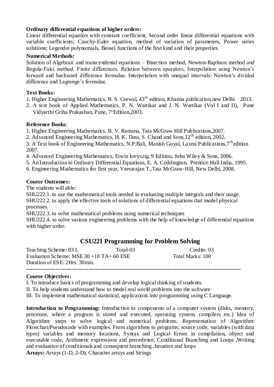## **Ordinary differential equations of higher orders:**

Linear differential equation with constant coefficient, Second order linear differential equations with variable coefficients; Cauchy-Euler equation, method of variation of parameters, Power series solutions; Legendre polynomials, Bessel functions of the first kind and their properties.

## **Numerical Methods:**

Solution of Algebraic and transcendental equations – Bisection method, Newton-Raphson method and Regula-Falsi method. Finite differences, Relation between operators, Interpolation using Newton"s forward and backward difference formulae. Interpolation with unequal intervals: Newton"s divided difference and Lagrange's formulae.

## **Text Books:**

- 1. Higher Engineering Mathematics, B. S. Grewal, 43<sup>th</sup> edition, Khanna publication, new Delhi 2013.
- 2. A text book of Applied Mathematics, P. N. Wartikar and J. N. Wartikar (Vol I and II), Pune Vidyarthi Griha Prakashan, Pune, 7<sup>th</sup>Edition, 2003.

## **Reference Books**:

1. Higher Engineering Mathematics, B. V. Ramana, Tata McGraw Hill Publications,2007.

2. Advanced Engineering Mathematics, H. K. Dass, S. Chand and Sons,12th edition, 2002.

3. A Text book of Engineering Mathematics, N.P.Bali, Manish Goyal, Laxmi Publications,7thedition 2007.

4. Advanced Engineering Mathematics, Erwin kreyszig, 9 Edition, John Wiley & Sons, 2006.

5. An Introduction to Ordinary Differential Equations, E. A. Coddington, Prentice Hall India, 1995.

6. Engineering Mathematics for first year, Veerarajan T.,Tata McGraw-Hill, New Delhi, 2008.

## **Course Outcomes:**

The students will able:

SHU222.1. to use the mathematical tools needed in evaluating multiple integrals and their usage. SHU222.2. to apply the effective tools of solutions of differential equations that model physical processes.

SHU222.3. to solve mathematical problems using numerical techniques

SHU222.4. to solve various engineering problems with the help of knowledge of differential equations with higher order.

## **CSU221 Programming for Problem Solving**

Teaching Scheme: 03 L Total-03 Credits: 03 Evaluation Scheme:  $MSE$  30 + 10 TA + 60 ESE Total Marks: 100 Duration of ESE: 2Hrs. 30min. **---------------------------------------------------------------------------------------------------------------------**

## **Course Objectives:**

I. To introduce basics of programming and develop logical thinking of students.

II. To help students understand how to model real world problems into the software

III. To implement mathematical statistical, applications into programming using C Language.

**Introduction to Programming:** Introduction to components of a computer system (disks, memory, processor, where a program is stored and executed, operating system, compilers etc.) Idea of Algorithm: steps to solve logical and numerical problems. Representation of Algorithm: Flowchart/Pseudocode with examples. From algorithms to programs; source code, variables (with data types) variables and memory locations, Syntax and Logical Errors in compilation, object and executable code, Arithmetic expressions and precedence, Conditional Branching and Loops ,Writing and evaluation of conditionals and consequent branching ,Iteration and loops **Arrays:** Arrays (1-D, 2-D), Character arrays and Strings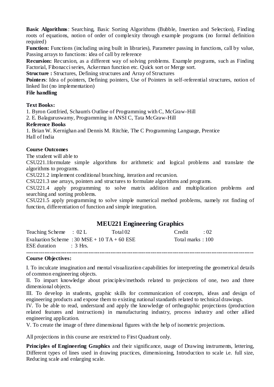**Basic Algorithms**: Searching, Basic Sorting Algorithms (Bubble, Insertion and Selection), Finding roots of equations, notion of order of complexity through example programs (no formal definition required)

**Function:** Functions (including using built in libraries), Parameter passing in functions, call by value, Passing arrays to functions: idea of call by reference

**Recursion:** Recursion, as a different way of solving problems. Example programs, such as Finding Factorial, Fibonacci series, Ackerman function etc. Quick sort or Merge sort.

**Structure :** Structures, Defining structures and Array of Structures

**Pointers**: Idea of pointers, Defining pointers, Use of Pointers in self-referential structures, notion of linked list (no implementation)

## **File handling**

#### **Text Books:**

1. Byron Gottfried, Schaum's Outline of Programming with C, McGraw-Hill

2. E. Balaguruswamy, Programming in ANSI C, Tata McGraw-Hill

#### **Reference Books**

1. Brian W. Kernighan and Dennis M. Ritchie, The C Programming Language, Prentice Hall of India

## **Course Outcomes**

The student will able to

CSU221.1formulate simple algorithms for arithmetic and logical problems and translate the algorithms to programs.

CSU221.2 implement conditional branching, iteration and recursion.

CSU221.3 use arrays, pointers and structures to formulate algorithms and programs.

CSU221.4 apply programming to solve matrix addition and multiplication problems and searching and sorting problems.

CSU221.5 apply programming to solve simple numerical method problems, namely rot finding of function, differentiation of function and simple integration.

## **MEU221 Engineering Graphics**

| Teaching Scheme : 02 L                                                 | Total 02 | $C_{\text{redit}}$ $\cdot$ 02 |  |
|------------------------------------------------------------------------|----------|-------------------------------|--|
| Evaluation Scheme : 30 MSE + 10 TA + 60 ESE<br>$ESE$ duration : 3 Hrs. |          | Total marks: 100              |  |
|                                                                        |          |                               |  |

#### **Course Objectives:**

I. To inculcate imagination and mental visualization capabilities for interpreting the geometrical details of common engineering objects.

II. To impart knowledge about principles/methods related to projections of one, two and three dimensional objects.

III. To develop in students, graphic skills for communication of concepts, ideas and design of engineering products and expose them to existing national standards related to technical drawings.

IV. To be able to read, understand and apply the knowledge of orthographic projections (production related features and instructions) in manufacturing industry, process industry and other allied engineering application.

V. To create the image of three dimensional figures with the help of isometric projections.

All projections in this course are restricted to First Quadrant only.

**Principles of Engineering Graphics** and their significance, usage of Drawing instruments, lettering, Different types of lines used in drawing practices, dimensioning, Introduction to scale i.e. full size, Reducing scale and enlarging scale.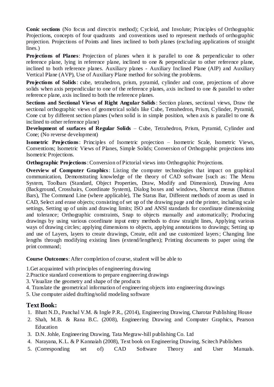**Conic sections** (No focus and directrix method); Cycloid, and Involute; Principles of Orthographic Projections, concepts of four quadrants and conventions used to represent methods of orthographic projection. Projections of Points and lines inclined to both planes (exclud ing applications of straight lines.)

**Projections of Planes**: Projection of planes when it is parallel to one & perpendicular to other reference plane, lying in reference plane, inclined to one & perpendicular to other reference plane, inclined to both reference planes. Auxiliary planes - Auxiliary Inclined Plane (AIP) and Auxiliary Vertical Plane (AVP), Use of Auxiliary Plane method for solving the problems.

**Projections of Solids**: cube, tetrahedron, prism, pyramid, cylinder and cone, projections of above solids when axis perpendicular to one of the reference planes, axis inclined to one & parallel to other reference plane, axis inclined to both the reference planes.

**Sections and Sectional Views of Right Angular Solids**: Section planes, sectional views, Draw the sectional orthographic views of geometrical solids like Cube, Tetrahedron, Prism, Cylinder, Pyramid, Cone cut by different section planes (when solid is in simple position, when axis is parallel to one  $\&$ inclined to other reference plane)

**Development of surfaces of Regular Solids** – Cube, Tetrahedron, Prism, Pyramid, Cylinder and Cone; (No reverse development)

**Isometric Projections**: Principles of Isometric projection – Isometric Scale, Isometric Views, Conventions; Isometric Views of Planes, Simple Solids; Conversion of Orthographic projections into Isometric Projections.

**Orthographic Projections**: Conversion of Pictorial views into Orthographic Projections.

**Overview of Computer Graphics**: Listing the computer technologies that impact on graphical communication, Demonstrating knowledge of the theory of CAD software [such as: The Menu System, Toolbars (Standard, Object Properties, Draw, Modify and Dimension), Drawing Area (Background, Crosshairs, Coordinate System), Dialog boxes and windows, Shortcut menus (Button Bars), The Command Line (where applicable), The Status Bar, Different methods of zoom as used in CAD, Select and erase objects; consisting of set up of the drawing page and the printer, including scale settings, Setting up of units and drawing limits; ISO and ANSI standards for coordinate dimensioning and tolerance; Orthographic constraints, Snap to objects manually and automatically; Producing drawings by using various coordinate input entry methods to draw straight lines, Applying various ways of drawing circles; applying dimensions to objects, applying annotations to drawings; Setting up and use of Layers, layers to create drawings, Create, edit and use customized layers; Changing line lengths through modifying existing lines (extend/lengthen); Printing documents to paper using the print command;

**Course Outcomes**: After completion of course, student will be able to

1.Get acquainted with principles of engineering drawing

- 2.Practice standard conventions to prepare engineering drawings
- 3. Visualize the geometry and shape of the products
- 4. Translate the geometrical information of engineering objects into engineering drawings
- 5. Use computer aided drafting/solid modeling software

## **Text Book:**

- 1. Bhatt N.D., Panchal V.M. & Ingle P.R., (2014), Engineering Drawing, Charotar Publishing House
- 2. Shah, M.B. & Rana B.C. (2008), Engineering Drawing and Computer Graphics, Pearson Education
- 3. D.N. Johle, Engineering Drawing, Tata Megraw-hill publishing Co. Ltd
- 4. Narayana, K.L. & P Kannaiah (2008), Text book on Engineering Drawing, Scitech Publishers
- 5. (Corresponding set of) CAD Software Theory and User Manuals.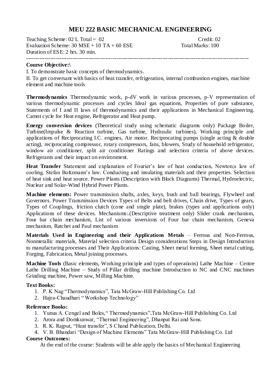## **MEU 222 BASIC MECHANICAL ENGINEERING**

Teaching Scheme: 02 L Total = 02 Credit: 02 Evaluation Scheme:  $30 \text{ MSE} + 10 \text{ TA} + 60 \text{ ESE}$  Total Marks:  $100$ Duration of ESE: 2 hrs. 30 min.

## **Course Objective:\**

I. To demonstrate basic concepts of thermodynamics.

II. To get conversant with basics of heat transfer, refrigeration, internal combustion engines, machine element and machine tools

-------------------------------------------------------------------------------------------------------------------------

**Thermodynamics** Thermodynamic work, p-dV work in various processes, p-V representation of various thermodynamic processes and cycles Ideal gas equations, Properties of pure substance, Statements of I and II laws of thermodynamics and their applications in Mechanical Engineering. Carnot cycle for Heat engine, Refrigerator and Heat pump.

**Energy conversion devices** (Theoretical study using schematic diagrams only) Package Boiler, Turbine(Impulse & Reaction turbine, Gas turbine, Hydraulic turbines), Working principle and applications of Reciprocating I.C. engines, Air motor. Reciprocating pumps (single acting & double acting), reciprocating compressor, rotary compressors, fans, blowers, Study of household refrigerator, window air conditioner, split air conditioner Ratings and selection criteria of above devices. Refrigerants and their impact on environment.

**Heat Transfer** Statement and explanation of Fourier's law of heat conduction, Newton; law of cooling, Stefan Boltzmann"s law. Conducting and insulating materials and their properties. Selection of heat sink and heat source. Power Plants (Description with Block Diagrams) Thermal, Hydroelectric, Nuclear and Solar-Wind Hybrid Power Plants.

**Machine elements:** Power transmission shafts, axles, keys, bush and ball bearings, Flywheel and Governors. Power Transmission Devices Types of Belts and belt drives, Chain drive, Types of gears, Types of Couplings, friction clutch (cone and single plate), brakes (types and applications only) Applications of these devices. Mechanisms:.(Descriptive treatment only) Slider crank mechanism, Four bar chain mechanism, List of various inversions of Four bar chain mechanism, Geneva mechanism, Ratchet and Paul mechanism

**Materials Used in Engineering and their Applications Metals** – Ferrous and Non-Ferrous, Nonmetallic materials, Material selection criteria Design considerations Steps in Design Introduction to manufacturing processes and Their Applications: Casting, Sheet metal forming, Sheet metal cutting, Forging, Fabrication, Metal joining processes.

**Machine Tools** (Basic elements, Working principle and types of operations) Lathe Machine – Centre Lathe Drilling Machine – Study of Pillar drilling machine Introduction to NC and CNC machines Grinding machine, Power saw, Milling Machine.

## **Text Books:**

- 1. P. K Nag "Thermodynamics", Tata McGraw-Hill Publishing Co. Ltd
- 2. Hajra-Chaudhari " Workshop Technology"

## **Reference Books:**

- 1. Yunus A. Cengel and Boles," Thermodynamics",Tata McGraw-Hill Publishing Co. Ltd
- 2. Arora and Domkunwar, "Thermal Engineering", Dhanpat Rai and Sons.
- 3. R. K. Rajput, "Heat transfer", S Chand Publication, Delhi.
- 4. V. B. Bhandari "Design of Machine Elements" Tata McGraw-Hill Publishing Co. Ltd

## **Course Outcomes:**

At the end of the course: Students will be able apply the basics of Mechanical Engineering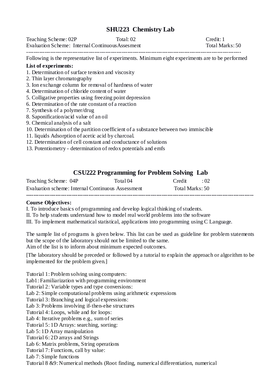## **SHU223 Chemistry Lab**

Teaching Scheme: 02P Total: 02 Credit: 1 Evaluation Scheme: Internal ContinuousAssesment Total Marks: 50

---------------------------------------------------------------------------------------------------------------------

Following is the representative list of experiments. Minimum eight experiments are to be performed

## **List of experiments:**

- 1. Determination of surface tension and viscosity
- 2. Thin layer chromatography
- 3. Ion exchange column for removal of hardness of water
- 4. Determination of chloride content of water
- 5. Colligative properties using freezing point depression
- 6. Determination of the rate constant of a reaction
- 7. Synthesis of a polymer/drug
- 8. Saponification/acid value of an oil
- 9. Chemical analysis of a salt
- 10. Determination of the partition coefficient of a substance between two immiscible
- 11. liquids Adsorption of acetic acid by charcoal.
- 12. Determination of cell constant and conductance of solutions
- 13. Potentiometry determination of redox potentials and emfs

## **CSU222 Programming for Problem Solving Lab**

| Teaching Scheme: 04P                              | Total 04 | Credit          | $\cdot$ 02 |
|---------------------------------------------------|----------|-----------------|------------|
| Evaluation scheme: Internal Continuous Assessment |          | Total Marks: 50 |            |
|                                                   |          |                 |            |

## **Course Objectives:**

I. To introduce basics of programming and develop logical thinking of students.

II. To help students understand how to model real world problems into the software

III. To implement mathematical statistical, applications into programming using C Language.

The sample list of programs is given below. This list can be used as guideline for problem statements but the scope of the laboratory should not be limited to the same. Aim of the list is to inform about minimum expected outcomes.

[The laboratory should be preceded or followed by a tutorial to explain the approach or algorithm to be implemented for the problem given.]

Tutorial 1: Problem solving using computers: Lab1: Familiarization with programming environment Tutorial 2: Variable types and type conversions: Lab 2: Simple computational problems using arithmetic expressions Tutorial 3: Branching and logical expressions: Lab 3: Problems involving if-then-else structures Tutorial 4: Loops, while and for loops: Lab 4: Iterative problems e.g., sum of series Tutorial 5: 1D Arrays: searching, sorting: Lab 5: 1D Array manipulation Tutorial 6: 2D arrays and Strings Lab 6: Matrix problems, String operations Tutorial 7: Functions, call by value: Lab 7: Simple functions Tutorial 8 &9: Numerical methods (Root finding, numerical differentiation, numerical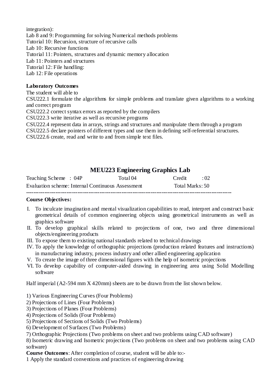integration): Lab 8 and 9: Programming for solving Numerical methods problems Tutorial 10: Recursion, structure of recursive calls Lab 10: Recursive functions Tutorial 11: Pointers, structures and dynamic memory allocation Lab 11: Pointers and structures Tutorial 12: File handling: Lab 12: File operations

## **Laboratory Outcomes**

The student will able to CSU222.1 formulate the algorithms for simple problems and translate given algorithms to a working and correct program CSU222.2 correct syntax errors as reported by the compilers CSU222.3 write iterative as well as recursive programs CSU222.4 represent data in arrays, strings and structures and manipulate them through a program CSU222.5 declare pointers of different types and use them in defining self-referential structures. CSU222.6 create, read and write to and from simple text files.

## **MEU223 Engineering Graphics Lab**

| Teaching Scheme : 04P                             | Total 04 | Credit          | $\cdot$ (12) |
|---------------------------------------------------|----------|-----------------|--------------|
| Evaluation scheme: Internal Continuous Assessment |          | Total Marks: 50 |              |

**----------------------------------------------------------------------------------------------------------------**

## **Course Objectives:**

- I. To inculcate imagination and mental visualization capabilities to read, interpret and construct basic geometrical details of common engineering objects using geometrical instruments as well as graphics software
- II. To develop graphical skills related to projections of one, two and three dimensional objects/engineering products
- III. To expose them to existing national standards related to technical drawings
- IV. To apply the knowledge of orthographic projections (production related features and instructions) in manufacturing industry, process industry and other allied engineering application
- V. To create the image of three dimensional figures with the help of isometric projections
- VI. To develop capability of computer-aided drawing in engineering area using Solid Modelling software

Half imperial (A2-594 mm X 420mm) sheets are to be drawn from the list shown below.

- 1) Various Engineering Curves (Four Problems)
- 2) Projections of Lines (Four Problems)
- 3) Projections of Planes (Four Problems)
- 4) Projections of Solids (Four Problems)
- 5) Projections of Sections of Solids (Two Problems)
- 6) Development of Surfaces (Two Problems)
- 7) Orthographic Projections (Two problems on sheet and two problems using CAD software)

8) Isometric drawing and Isometric projections (Two problems on sheet and two problems using CAD software)

- **Course Outcomes**: After completion of course, student will be able to:-
- 1 Apply the standard conventions and practices of engineering drawing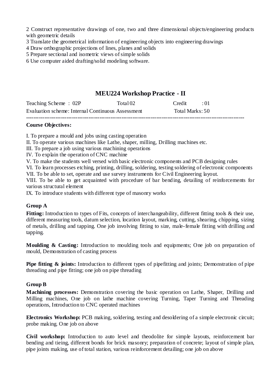2 Construct representative drawings of one, two and three dimensional objects/engineering products with geometric details

- 3 Translate the geometrical information of engineering objects into engineering drawings
- 4 Draw orthographic projections of lines, planes and solids
- 5 Prepare sectional and isometric views of simple solids
- 6 Use computer aided drafting/solid modeling software.

## **MEU224 Workshop Practice - II**

| Evaluation scheme: Internal Continuous Assessment |          | Total Marks: 50 |            |
|---------------------------------------------------|----------|-----------------|------------|
| Teaching Scheme: 02P                              | Total 02 | Credit          | $\cdot$ 01 |

## **Course Objectives:**

I. To prepare a mould and jobs using casting operation

- II. To operate various machines like Lathe, shaper, milling, Drilling machines etc.
- III. To prepare a job using various machining operations
- IV. To explain the operation of CNC machine
- V. To make the students well versed with basic electronic components and PCB designing rules

VI. To learn processes etching, printing, drilling, soldering, testing soldering of electronic components VII. To be able to set, operate and use survey instruments for Civil Engineering layout.

VIII. To be able to get acquainted with procedure of bar bending, detailing of reinforcements for various structural element

IX. To introduce students with different type of masonry works

## **Group A**

Fitting: Introduction to types of Fits, concepts of interchangeability, different fitting tools & their use, different measuring tools, datum selection, location layout, marking, cutting, shearing, chipping, sizing of metals, drilling and tapping. One job involving fitting to size, male-female fitting with drilling and tapping.

**Moulding & Casting:** Introduction to moulding tools and equipments; One job on preparation of mould, Demonstration of casting process

**Pipe fitting & joints:** Introduction to different types of pipefitting and joints; Demonstration of pipe threading and pipe fitting; one job on pipe threading

## **Group B**

**Machining processes:** Demonstration covering the basic operation on Lathe, Shaper, Drilling and Milling machines, One job on lathe machine covering Turning, Taper Turning and Threading operations, Introduction to CNC operated machines

**Electronics Workshop:** PCB making, soldering, testing and desoldering of a simple electronic circuit; probe making. One job on above

**Civil workshop:** Introduction to auto level and theodolite for simple layouts, reinforcement bar bending and tieing, different bonds for brick masonry; preparation of concrete; layout of simple plan, pipe joints making, use of total station, various reinforcement detailing; one job on above